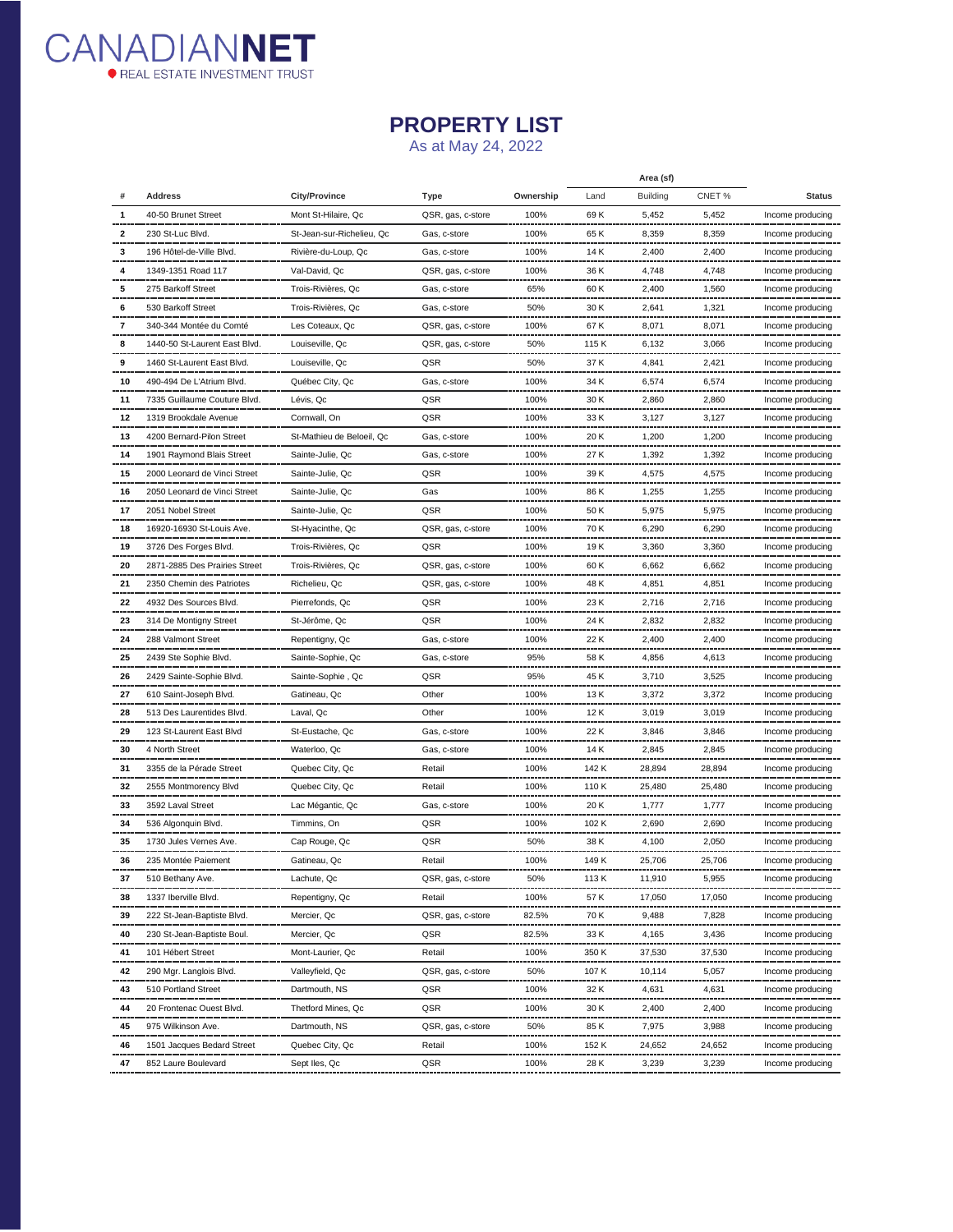

## **PROPERTY LIST**

As at May 24, 2022

|    |                               |                           |                   |           | Area (sf) |                 |        |                  |
|----|-------------------------------|---------------------------|-------------------|-----------|-----------|-----------------|--------|------------------|
|    | <b>Address</b>                | <b>City/Province</b>      | <b>Type</b>       | Ownership | Land      | <b>Building</b> | CNET%  | <b>Status</b>    |
|    | 40-50 Brunet Street           | Mont St-Hilaire, Qc       | QSR, gas, c-store | 100%      | 69 K      | 5,452           | 5,452  | Income producing |
| 2  | 230 St-Luc Blvd.              | St-Jean-sur-Richelieu, Qc | Gas, c-store      | 100%      | 65 K      | 8,359           | 8,359  | Income producing |
|    | 196 Hôtel-de-Ville Blvd.      | Rivière-du-Loup, Qc       | Gas, c-store      | 100%      | 14 K      | 2,400           | 2,400  | Income producing |
|    | 1349-1351 Road 117            | Val-David, Qc             | QSR, gas, c-store | 100%      | 36 K      | 4,748           | 4,748  | Income producing |
| 5  | 275 Barkoff Street            | Trois-Rivières, Qc        | Gas, c-store      | 65%       | 60 K      | 2,400           | 1,560  | Income producing |
| 6  | 530 Barkoff Street            | Trois-Rivières, Qc        | Gas, c-store      | 50%       | 30 K      | 2,641           | 1,321  | Income producing |
| 7  | 340-344 Montée du Comté       | Les Coteaux, Qc           | QSR, gas, c-store | 100%      | 67 K      | 8,071           | 8,071  | Income producing |
| 8  | 1440-50 St-Laurent East Blvd. | Louiseville, Qc           | QSR, gas, c-store | 50%       | 115 K     | 6,132           | 3,066  | Income producing |
| 9  | 1460 St-Laurent East Blvd.    | Louiseville, Qc           | QSR               | 50%       | 37 K      | 4,841           | 2,421  | Income producing |
| 10 | 490-494 De L'Atrium Blvd.     | Québec City, Qc           | Gas, c-store      | 100%      | 34 K      | 6,574           | 6,574  | Income producing |
| 11 | 7335 Guillaume Couture Blvd.  | Lévis, Qc                 | QSR               | 100%      | 30 K      | 2,860           | 2,860  | Income producing |
| 12 | 1319 Brookdale Avenue<br>     | Cornwall, On              | QSR               | 100%      | 33 K      | 3,127           | 3,127  | Income producing |
| 13 | 4200 Bernard-Pilon Street     | St-Mathieu de Beloeil, Qc | Gas, c-store      | 100%      | 20 K      | 1,200           | 1,200  | Income producing |
| 14 | 1901 Raymond Blais Street     | Sainte-Julie, Qc          | Gas, c-store      | 100%      | 27 K      | 1,392           | 1,392  | Income producing |
| 15 | 2000 Leonard de Vinci Street  | Sainte-Julie, Qc          | QSR               | 100%      | 39 K      | 4,575           | 4,575  | Income producing |
| 16 | 2050 Leonard de Vinci Street  | Sainte-Julie, Qc          | Gas               | 100%      | 86 K      | 1,255           | 1,255  | Income producing |
| 17 | 2051 Nobel Street             | Sainte-Julie, Qc          | QSR               | 100%      | 50 K      | 5,975           | 5,975  | Income producing |
| 18 | 16920-16930 St-Louis Ave.     | St-Hyacinthe, Qc          | QSR, gas, c-store | 100%      | 70 K      | 6,290           | 6,290  | Income producing |
| 19 | 3726 Des Forges Blvd.         | Trois-Rivières, Qc        | QSR               | 100%      | 19 K      | 3,360           | 3,360  | Income producing |
| 20 | 2871-2885 Des Prairies Street | Trois-Rivières, Qc        | QSR, gas, c-store | 100%      | 60 K      | 6,662           | 6,662  | Income producing |
| 21 | 2350 Chemin des Patriotes     | Richelieu, Qc             | QSR, gas, c-store | 100%      | 48 K      | 4,851           | 4,851  | Income producing |
| 22 | 4932 Des Sources Blvd.        | Pierrefonds, Qc           | QSR               | 100%      | 23 K      | 2,716           | 2,716  | Income producing |
| 23 | 314 De Montigny Street        | St-Jérôme, Qc             | QSR               | 100%      | 24 K      | 2,832           | 2,832  | Income producing |
| 24 | 288 Valmont Street            | Repentigny, Qc            | Gas, c-store      | 100%      | 22 K      | 2,400           | 2,400  | Income producing |
| 25 | 2439 Ste Sophie Blvd.         | Sainte-Sophie, Qc         | Gas, c-store      | 95%       | 58 K      | 4,856           | 4,613  | Income producing |
| 26 | 2429 Sainte-Sophie Blvd.      | Sainte-Sophie, Qc         | QSR               | 95%       | 45 K      | 3,710           | 3,525  | Income producing |
| 27 | 610 Saint-Joseph Blvd.        | Gatineau, Qc              | Other             | 100%      | 13 K      | 3,372           | 3,372  | Income producing |
| 28 | 513 Des Laurentides Blvd.     | Laval, Qc                 | Other             | 100%      | 12 K      | 3,019           | 3,019  | Income producing |
| 29 | 123 St-Laurent East Blvd      | St-Eustache, Qc           | Gas, c-store      | 100%      | 22 K      | 3,846           | 3,846  | Income producing |
| 30 | 4 North Street                | Waterloo, Qc              | Gas, c-store      | 100%      | 14 K      | 2,845           | 2,845  | Income producing |
| 31 | 3355 de la Pérade Street      | Quebec City, Qc           | Retail            | 100%      | 142 K     | 28,894          | 28,894 | Income producing |
| 32 | 2555 Montmorency Blvd         | Quebec City, Qc           | Retail            | 100%      | 110 K     | 25,480          | 25,480 | Income producing |
| 33 | 3592 Laval Street             | Lac Mégantic, Qc          | Gas, c-store      | 100%      | 20 K      | 1,777           | 1,777  | Income producing |
| 34 | 536 Algonquin Blvd.           | Timmins, On               | QSR               | 100%      | 102 K     | 2,690           | 2,690  | Income producing |
| 35 | 1730 Jules Vernes Ave         | Cap Rouge, Qc             | QSR               | 50%       | 38 K      | 4,100           | 2,050  | Income producing |
| 36 | 235 Montée Paiement           | Gatineau, Qc              | Retail            | 100%      | 149 K     | 25,706          | 25,706 | Income producing |
| 37 | 510 Bethany Ave.              | Lachute, Qc               | QSR, gas, c-store | 50%       | 113 K     | 11,910          | 5,955  | Income producing |
| 38 | 1337 Iberville Blvd.          | Repentigny, Qc            | Retail            | 100%      | 57 K      | 17,050          | 17,050 | Income producing |
| 39 | 222 St-Jean-Baptiste Blvd     | Mercier, Qc               | QSR, gas, c-store | 82.5%     | 70 K      | 9,488           | 7,828  | Income producing |
| 40 | 230 St-Jean-Baptiste Boul.    | Mercier, Qc               | QSR               | 82.5%     | 33 K      | 4,165           | 3,436  | Income producing |
| 41 | 101 Hébert Street             | Mont-Laurier, Qc          | Retail            | 100%      | 350 K     | 37,530          | 37,530 | Income producing |
| 42 | 290 Mgr. Langlois Blvd.       | Valleyfield, Qc           | QSR, gas, c-store | 50%       | 107 K     | 10,114          | 5,057  | Income producing |
| 43 | 510 Portland Street           | Dartmouth, NS             | QSR               | 100%      | 32 K      | 4,631           | 4,631  | Income producing |
| 44 | 20 Frontenac Ouest Blvd.      | Thetford Mines, Qc        | QSR               | 100%      | 30 K      | 2,400           | 2,400  | Income producing |
| 45 | 975 Wilkinson Ave.            | Dartmouth, NS             | QSR, gas, c-store | 50%       | 85 K      | 7,975           | 3,988  | Income producing |
| 46 | 1501 Jacques Bedard Street    | Quebec City, Qc           | Retail            | 100%      | 152 K     | 24,652          | 24,652 | Income producing |
| 47 | 852 Laure Boulevard           | Sept Iles, Qc             | QSR               | 100%      | 28 K      | 3,239           | 3,239  | Income producing |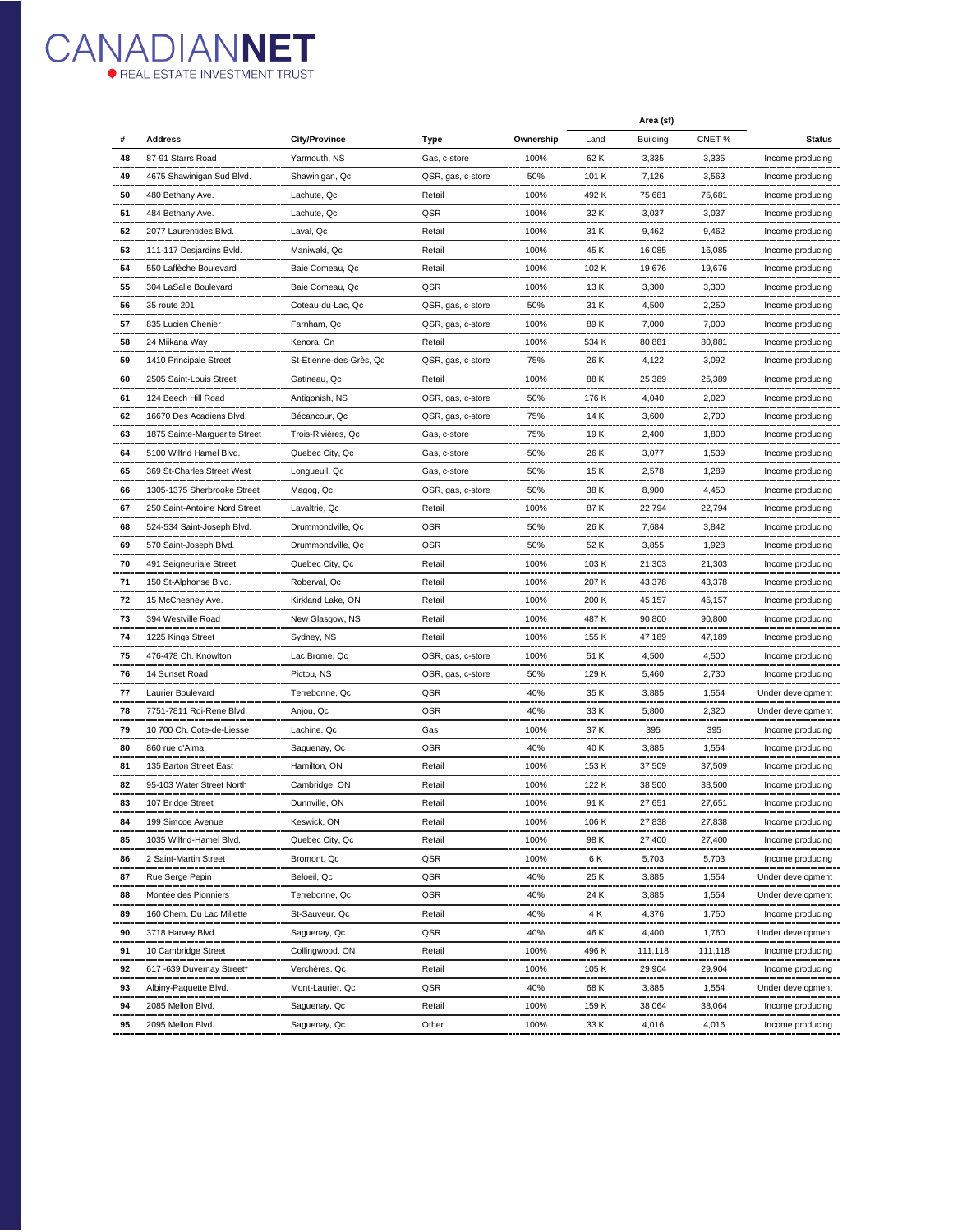

|    |                               |                         |                   |           | Area (sf) |                 |         |                   |
|----|-------------------------------|-------------------------|-------------------|-----------|-----------|-----------------|---------|-------------------|
|    | Address                       | <b>City/Province</b>    | Type              | Ownership | Land      | <b>Building</b> | CNET%   | <b>Status</b>     |
| 48 | 87-91 Starrs Road             | Yarmouth, NS            | Gas, c-store      | 100%      | 62 K      | 3,335           | 3,335   | Income producing  |
| 49 | 4675 Shawinigan Sud Blvd.     | Shawinigan, Qc          | QSR, gas, c-store | 50%       | 101 K     | 7,126           | 3,563   | Income producing  |
| 50 | 480 Bethany Ave.              | Lachute, Qc             | Retail            | 100%      | 492 K     | 75,681          | 75,681  | Income producing  |
| 51 | 484 Bethany Ave.              | Lachute, Qc             | QSR               | 100%      | 32 K      | 3,037           | 3,037   | Income producing  |
| 52 | 2077 Laurentides Blvd.        | Laval, Qc               | Retail            | 100%      | 31 K      | 9,462           | 9,462   | Income producing  |
| 53 | 111-117 Desjardins Bvld.      | Maniwaki, Qc            | Retail            | 100%      | 45 K      | 16,085          | 16,085  | Income producing  |
| 54 | 550 Laflèche Boulevard        | Baie Comeau, Qc         | Retail            | 100%      | 102 K     | 19,676          | 19,676  | Income producing  |
| 55 | 304 LaSalle Boulevard         | Baie Comeau, Qc         | QSR               | 100%      | 13 K      | 3,300           | 3,300   | Income producing  |
| 56 | 35 route 201                  | Coteau-du-Lac, Qc       | QSR, gas, c-store | 50%       | 31 K      | 4,500           | 2,250   | Income producing  |
| 57 | 835 Lucien Chenier            | Farnham, Qc             | QSR, gas, c-store | 100%      | 89 K      | 7,000           | 7,000   | Income producing  |
| 58 | 24 Miikana Way                | Kenora, On              | Retail            | 100%      | 534 K     | 80,881          | 80,881  | Income producing  |
| 59 | 1410 Principale Street        | St-Etienne-des-Grès, Qc | QSR, gas, c-store | 75%       | 26 K      | 4,122           | 3,092   | Income producing  |
| 60 | 2505 Saint-Louis Street       | Gatineau, Qc            | Retail            | 100%      | 88 K      | 25,389          | 25,389  | Income producing  |
| 61 | 124 Beech Hill Road           | Antigonish, NS          | QSR, gas, c-store | 50%       | 176 K     | 4,040           | 2,020   | Income producing  |
| 62 | 16670 Des Acadiens Blvd.      | Bécancour, Qc           | QSR, gas, c-store | 75%       | 14 K      | 3,600           | 2,700   | Income producing  |
| 63 | 1875 Sainte-Marguerite Street | Trois-Rivières, Qc      | Gas, c-store      | 75%       | 19 K      | 2,400           | 1,800   | Income producing  |
| 64 | 5100 Wilfrid Hamel Blvd.      | Quebec City, Qc         | Gas, c-store      | 50%       | 26 K      | 3,077           | 1,539   | Income producing  |
| 65 | 369 St-Charles Street West    | Longueuil, Qc           | Gas, c-store      | 50%       | 15 K      | 2,578           | 1,289   | Income producing  |
| 66 | 1305-1375 Sherbrooke Street   | Magog, Qc               | QSR, gas, c-store | 50%       | 38 K      | 8,900           | 4,450   | Income producing  |
| 67 | 250 Saint-Antoine Nord Street | Lavaltrie, Qc           | Retail            | 100%      | 87 K      | 22,794          | 22,794  | Income producing  |
| 68 | 524-534 Saint-Joseph Blvd.    | Drummondville, Qc       | QSR               | 50%       | 26 K      | 7,684           | 3,842   | Income producing  |
| 69 | 570 Saint-Joseph Blvd.        | Drummondville, Qc       | QSR               | 50%       | 52 K      | 3,855           | 1,928   | Income producing  |
| 70 | 491 Seigneuriale Street       | Quebec City, Qc         | Retail            | 100%      | 103 K     | 21,303          | 21,303  | Income producing  |
| 71 | 150 St-Alphonse Blvd.         | Roberval, Qc            | Retail            | 100%      | 207 K     | 43,378          | 43,378  | Income producing  |
| 72 | 15 McChesney Ave.             | Kirkland Lake, ON       | Retail            | 100%      | 200 K     | 45,157          | 45,157  | Income producing  |
| 73 | 394 Westville Road            | New Glasgow, NS         | Retail            | 100%      | 487 K     | 90,800          | 90,800  | Income producing  |
| 74 | 1225 Kings Street             | Sydney, NS              | Retail            | 100%      | 155 K     | 47,189          | 47,189  | Income producing  |
| 75 | 476-478 Ch. Knowlton          | Lac Brome, Qc           | QSR, gas, c-store | 100%      | 51 K      | 4,500           | 4,500   | Income producing  |
| 76 | 14 Sunset Road                | Pictou, NS              | QSR, gas, c-store | 50%       | 129 K     | 5,460           | 2,730   | Income producing  |
| 77 | Laurier Boulevard             | Terrebonne, Qc          | QSR               | 40%       | 35 K      | 3,885           | 1,554   | Under development |
| 78 | 7751-7811 Roi-Rene Blvd.      | Anjou, Qc               | QSR               | 40%       | 33 K      | 5,800           | 2,320   | Under development |
| 79 | 10 700 Ch. Cote-de-Liesse     | Lachine, Qc             | Gas               | 100%      | 37 K      | 395             | 395     | Income producing  |
| 80 | 860 rue d'Alma                | Saguenay, Qc            | QSR               | 40%       | 40 K      | 3,885           | 1,554   | Income producing  |
| 81 | 135 Barton Street East        | Hamilton, ON            | Retail            | 100%      | 153 K     | 37,509          | 37,509  | Income producing  |
| 82 | 95-103 Water Street North     | Cambridge, ON           | Retail            | 100%      | 122 K     | 38,500          | 38,500  | Income producing  |
| 83 | 107 Bridge Street             | Dunnville, ON           | Retail            | 100%      | 91 K      | 27,651          | 27,651  | Income producing  |
| 84 | 199 Simcoe Avenue             | Keswick, ON             | Retail            | 100%      | 106 K     | 27,838          | 27,838  | Income producing  |
| 85 | 1035 Wilfrid-Hamel Blvd.      | Quebec City, Qc         | Retail            | 100%      | 98 K      | 27,400          | 27,400  | Income producing  |
| 86 | 2 Saint-Martin Street         | Bromont, Qc             | QSR               | 100%      | 6 K       | 5,703           | 5,703   | Income producing  |
| 87 | Rue Serge Pepin               | Beloeil, Qc             | QSR               | 40%       | 25 K      | 3,885           | 1,554   | Under development |
| 88 | Montée des Pionniers          | Terrebonne, Qc          | QSR               | 40%       | 24 K      | 3,885           | 1,554   | Under development |
| 89 | 160 Chem. Du Lac Millette     | St-Sauveur, Qc          | Retail            | 40%       | 4 K       | 4,376           | 1,750   | Income producing  |
| 90 | 3718 Harvey Blvd.             | Saguenay, Qc            | QSR               | 40%       |           | 4,400           |         |                   |
| 91 |                               | Collingwood, ON         | Retail            | 100%      | 46 K      |                 | 1,760   | Under development |
| 92 | 10 Cambridge Street           | Verchères, Qc           |                   |           | 496 K     | 111,118         | 111,118 | Income producing  |
|    | 617 -639 Duvernay Street"     |                         | Retail            | 100%      | 105 K     | 29,904          | 29,904  | Income producing  |
| 93 | Albiny-Paquette Blvd.         | Mont-Laurier, Qc        | QSR               | 40%       | 68 K      | 3,885           | 1,554   | Under development |
| 94 | 2085 Mellon Blvd.             | Saguenay, Qc            | Retail            | 100%      | 159 K     | 38,064          | 38,064  | Income producing  |
| 95 | 2095 Mellon Blvd.             | Saguenay, Qc            | Other             | 100%      | 33 K      | 4,016           | 4,016   | Income producing  |